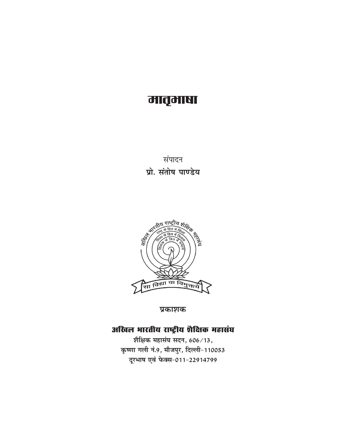## मातृमाषा

संपादन प्रो. संतोष पाण्डेय



प्रकाशक

## अखिल भारतीय राष्ट्रीय शैक्षिक महासंघ

शैक्षिक महासंघ सदन, 606/13, कृष्णा गली नं.9, मौजपुर, दिल्ली-110053 दूरभाष एवं फेक्स-011-22914799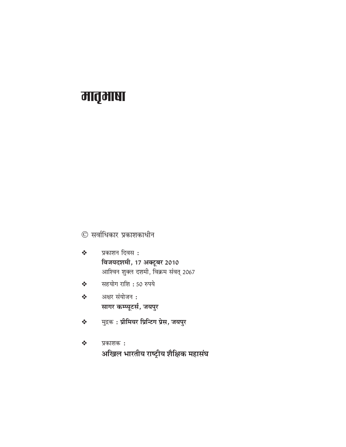© सर्वाधिकार प्रकाशकाधीन

- प्रकाशन दिवस:  $\frac{1}{2}$ विजयदशमी, 17 अक्टूबर 2010 आश्विन शुक्ल दशमी, विक्रम संवत् 2067
- सहयोग राशि: 50 रुपये  $\frac{1}{2}$
- अक्षर संयोजन:  $\frac{1}{2}$ सागर कम्प्यूटर्स, जयपुर
- मुद्रक: प्रीमियर प्रिन्टिग प्रेस, जयपुर  $\frac{1}{2}$

 $\frac{1}{2}$ प्रकाशक: अखिल भारतीय राष्ट्रीय शैक्षिक महासंघ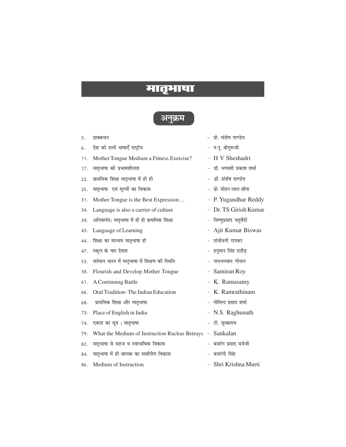## अनक्रम

- $5<sub>1</sub>$ प्राक्कथन
- देश की सभी भाषाएँ राष्ट्रीय 6.
- $11.$ Mother Tongue Medium a Fitness Exercise?
- मातृभाषा की प्रभावशीलता  $17.$
- 22. प्राथमिक शिक्षा मातृभाषा में ही हो
- मातृभाषा एवं मुल्यों का विकास  $25$
- $31.$ Mother Tongue is the Best Expression ...
- Language is also a carrier of culture 34.
- 39. अनिवार्यत: मातृभाषा में ही हो प्राथमिक शिक्षा
- 43. Language of Learning
- 44. शिक्षा का माध्यम मातृभाषा हो
- 47. स्कूल के चार देवता
- वर्तमान भारत में मातृभाषा में शिक्षण की स्थिति 53.
- 58. Flourish and Develop Mother Tongue
- 61. A Continuing Battle
- 66. Oral Tradition-The Indian Education
- $68$ प्राथमिक शिक्षा और मातृभाषा
- $73$ Place of English in India
- 74. एकता का सूत्र: मातृभाषा
- 79. What the Medium of Instruction Ruckus Betrays Sankalan
- 82. मातृभाषा से सहज व स्वाभाविक विकास
- मातृभाषा में ही बालक का सर्वांगीण विकास 84.
- $86$ Medium of Instruction
- पो संतोष पाण्डेय
- प.पू. श्रीगुरूजी
- H V Sheshadri
- डॉ. भगवती प्रकाश शर्मा
- प्रो. संतोष पाण्डेय
- प्रो. मोहन लाल छीपा
- P. Yugandhar Reddy
- Dr. TS Girish Kumar
- विष्णुप्रसाद चतुर्वेदी
- Ajit Kumar Biswas
- संजीवनी रायकर
- हनुमान सिंह राठौड
- जयभगवान गोयल
- Samiran Roy
- K. Ramasamy
- K. Ramrathinam
- गोविन्द प्रसाद शर्मा
- N.S. Raghunath
- टी. सुब्बाराव
- 
- बजरंग प्रसाद मजेजी
- बजरंगी सिंह
- Shri Krishna Murti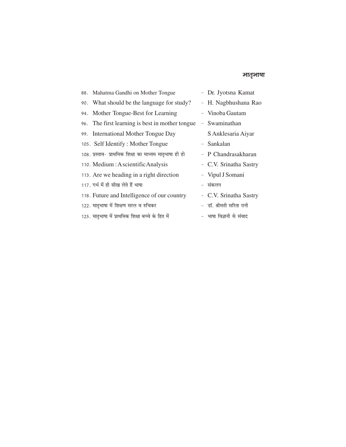#### ञातृभाषा

| 88. Mahatma Gandhi on Mother Tongue                     | - Dr. Jyotsna Kamat      |
|---------------------------------------------------------|--------------------------|
| 90. What should be the language for study?              | - H. Nagbhushana Rao     |
| 94. Mother Tongue-Best for Learning                     | - Vinoba Gautam          |
| 96. The first learning is best in mother tongue         | - Swaminathan            |
| 99. International Mother Tongue Day                     | S Anklesaria Aiyar       |
| 105. Self Identify: Mother Tongue                       | - Sankalan               |
| 108. प्रस्ताव- प्राथमिक शिक्षा का माध्यम मातृभाषा ही हो | - P Chandrasakharan      |
| 110. Medium: A scientific Analysis                      | - C.V. Srinatha Sastry   |
| 113. Are we heading in a right direction                | - Vipul J Somani         |
| 117. गर्भ में ही सीख लेते हैं भाषा                      | - संकलन                  |
| 118. Future and Intelligence of our country             | - C.V. Srinatha Sastry   |
| 122. मातृभाषा में शिक्षण सरल व रुचिकर                   | - डॉ. श्रीमती सरिता रानी |
| 125. मातृभाषा में प्राथमिक शिक्षा बच्चे के हित में      | - भाषा विज्ञानी से संवाद |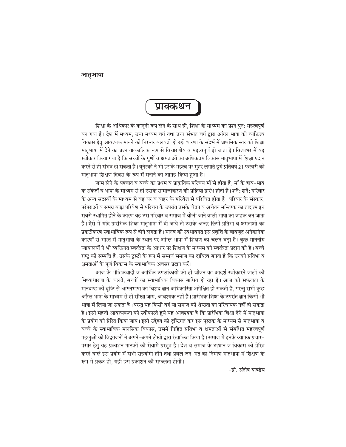## प्राक्कथन

शिक्षा के अधिकार के कानूनी रूप लेने के साथ ही, शिक्षा के माध्यम का प्रश्न पुन: महत्वपूर्ण बन गया है। देश में मध्यम, उच्च मध्यम वर्ग तथा उच्च संभ्रात वर्ग द्वारा आंग्ल भाषा को व्यक्तित्व विकास हेतु आवश्यक मानने की निरन्तर बलवती हो रही धारणा के संदर्भ में प्राथमिक स्तर की शिक्षा मातृभाषा में देने का प्रश्न तात्कालिक रूप से विचारणीय व महत्वपूर्ण हो जाता है। विश्वभर में यह स्वीकार किया गया है कि बच्चों के गणों व क्षमताओं का अधिकतम विकास मातृभाषा में शिक्षा प्रदान करने से ही संभव हो सकता है। यूनेस्को ने भी इसके महत्व पर मुहर लगाते हुये प्रतिवर्ष 21 फरवरी को मातृभाषा शिक्षण दिवस के रूप में मनाने का आग्रह किया हुआ है।

जन्म लेने के पश्चात व बच्चे का प्रथम व प्राकृतिक परिचय माँ से होता है, माँ के हाव-भाव के संकेतों व भाषा के माध्यम से ही उसके सामाजीकरण की प्रक्रिया प्रारंभ होती है। शनै: शनै: परिवार के अन्य सदस्यों के माध्यम से वह घर व बाहर के परिवेश से परिचित होता है। परिवार के संस्कार. परंपराओं व समग्र बाह्य परिवेश से परिचय के उपरांत उसके चेतन व अचेतन मस्तिष्क का तादात्म इन सबसे स्थापित होने के कारण वह उस परिवार व समाज में बोली जाने वाली भाषा का वाहक बन जाता है। ऐसे में यदि प्रारंभिक शिक्षा मातृभाषा में दी जाये तो उसके अन्दर छिपी प्रतिभा व क्षमताओं का प्रकटीकरण स्वाभाविक रूप से होने लगता है। मानव की स्वभावगत इस प्रवृत्ति के बावजूद अनेकानेक कारणों से भारत में मातृभाषा के स्थान पर आंग्ल भाषा में शिक्षण का चलन बढा है। कुछ माननीय न्यायालयों ने भी व्यक्तिगत स्वतंत्रता के आधार पर शिक्षण के माध्यम की स्वतंत्रता प्रदान की है। बच्चे राष्ट्र की सम्पत्ति है, उसके ट्रस्टी के रूप में सम्पूर्ण समाज का दायित्व बनता है कि उनको प्रतिभा व क्षमताओं के पर्ण विकास के स्वाभाविक अवसर प्रदान करें।

आज के भौतिकवादी व आर्थिक उपलब्धियों को ही जीवन का आदर्श स्वीकारने वालों की मिथ्याधारणा के चलते, बच्चों का स्वाभाविक विकास बाधित हो रहा है। आज की सफलता के मानदण्ड की दृष्टि से आंग्लभाषा का विशद ज्ञान अधिकारिता अपेक्षित हो सकती है, परन्तु सभी कुछ आँग्ल भाषा के माध्यम से ही सीखा जाय, आवश्यक नहीं है। प्रारंभिक शिक्षा के उपरांत ज्ञान किसी भी भाषा में लिया जा सकता है। परन्त यह किसी वर्ग या समाज की श्रेष्ठता का परिचायक नहीं हो सकता है। इसी महती आवश्यकता को स्वीकारते हुये यह आवश्यक है कि प्रारंभिक शिक्षा देने में मातृभाषा के प्रयोग को प्रेरित किया जाय। इसी उद्देश्य को दुष्टिगत कर इस पुस्तक के माध्यम से मातृभाषा व बच्चे के स्वाभाविक मानसिक विकास, उसमें निहित प्रतिभा व क्षमताओं से संबंधित महत्त्वपूर्ण पहलुओं को विद्वतजनों ने अपने–अपने लेखों द्वारा रेखांकित किया है। समाज में इनके व्यापक प्रचार– प्रसार हेतु यह प्रकाशन पाठकों की सेवामें प्रस्तुत है। देश व समाज के उत्थान व विकास को प्रेरित करने वाले इस प्रयोग में सभी सहयोगी होंगे तथा प्रबल जन-मत का निर्माण मातृभाषा में शिक्षण के रूप में प्रकट हो. यही इस प्रकाशन की सफलता होगी।

-प्रो. संतोष पाण्डेय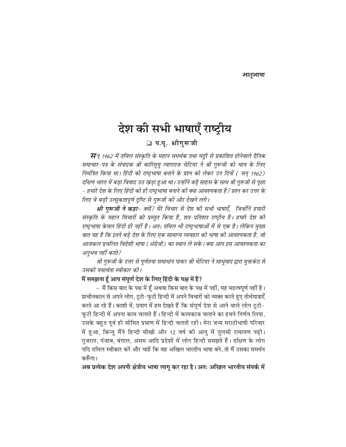# देश की सभी भाषाएँ राष्ट्रीय

□ प.पू. श्रीगुरूजी

सन् 1962 में तमिल संस्कृति के महान समर्थक तथा मदुरै से प्रकाशित होनेवाले दैनिक समाचार-पत्र के संपादक श्री कारिमुत्तू त्यागराज चेटियर ने श्री गुरूजी को चाय के लिए निमंत्रित किया था। हिंदी को राष्ट्रभाषा बनाने के प्रश्न को लेकर उन दिनों ( सन् 1962) दक्षिण भारत में बडा विवाद उठ खडा हुआ था। उन्होंने बडे साहस के साथ श्री गुरूजी से पूछा – हमारे देश के लिए हिंदी को ही राष्ट्रभाषा बनाने की क्या आवश्यकता है? प्रश्न कर उत्तर के लिए वे बडी उत्सुकतापूर्ण दृष्टि से गुरूजी की ओर देखने लगे।

श्री गुरूजी ने कहा- क्यों? मेरे विचार से देश की सभी भाषाएँ, जिन्होंने हमारी संस्कृति के महान विचारों को प्रस्तुत किया है, शत-प्रतिशत राष्ट्रीय है। हमारे देश की राष्ट्रभाषा केवल हिंदी ही नहीं है। अत: तमिल भी राष्ट्रभाषाओं में से एक है। लेकिन मुख्य बात यह है कि इतने बड़े देश के लिए एक सामान्य व्यवहार की भाषा की आवश्यकता है, जो आजकल प्रचलित विदेशी भाषा (अंग्रेजी) का स्थान ले सके। क्या आप इस आवश्यकता का अनुभव नहीं करते?

श्री गुरूजी के उत्तर से पूर्णतया समाधान पाकर श्री चेटियर ने साधुवाद द्वारा मुक्तकंठ से उसकी यथार्थता स्वीकार की।

#### मैं समझता हूँ आप संपूर्ण देश के लिए हिंदी के पक्ष में हैं?

– मैं किस बात के पक्ष में हूँ अथवा किस बात के पक्ष में नहीं, यह महत्वपूर्ण नहीं है। प्राचीनकाल से अपने लोग, टूटी-फूटी हिन्दी में अपने विचारों को व्यक्त करते हुए तीर्थयात्राएँ करते आ रहे हैं। काशी में, प्रयाग में हम देखते हैं कि संपूर्ण देश से आने वाले लोग टूटी-फूटी हिन्दी में अपना काम चलाते हैं। हिन्दी में कामकाज चलाने का हमने निर्णय लिया, उसके बहुत पूर्व ही सीमित प्रमाण में हिन्दी चलती रही। मेरा जन्म मराठीभाषी परिवार में हुआ, किन्तु मैंने हिन्दी सीखी और 12 वर्ष की आयु में तुलसी रामायण पढी। गुजरात, पंजाब, बंगाल, असम आदि प्रदेशों में लोग हिन्दी समझते हैं। दक्षिण के लोग यदि तमिल स्वीकार करें और चाहें कि वह अखिल भारतीय भाषा बने. तो मैं उसका समर्थन करूँगा।

अब प्रत्येक देश अपनी क्षेत्रीय भाषा लागू कर रहा है। अत: अखिल भारतीय संपर्क में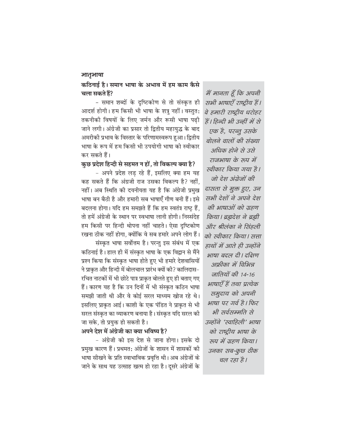#### कठिनाई है। समान भाषा के अभाव में हम काम कैसे चला सकते हैं?

- समान शब्दों के दृष्टिकोण से तो संस्कृत ही आदर्श होगी। हम किसी भी भाषा के शत्रु नहीं। वस्तुत: तकनीकी विषयों के लिए जर्मन और रूसी भाषा पढी जाने लगी। अंग्रेजी का प्रसार तो द्वितीय महायुद्ध के बाद अमरीकी प्रभाव के विस्तार के परिणामस्वरूप हुआ। द्वितीय भाषा के रूप में हम किसी भी उपयोगी भाषा को स्वीकार कर सकते हैं।

कुछ प्रदेश हिन्दी से सहमत न हों, तो विकल्प क्या है?

- अपने प्रदेश लड रहे हैं, इसलिए क्या हम यह कह सकते हैं कि अंग्रजी राज उसका विकल्प है? नहीं, नहीं। अब स्थिति की दयनीयता यह है कि अंग्रेजी प्रमुख भाषा बन बैठी है और हमारी सब भाषाएँ गौण बनी हैं। इसे बदलना होगा। यदि हम समझते हैं कि हम स्वतंत्र राष्ट्र हैं, तो हमें अंग्रेजी के स्थान पर स्वभाषा लानी होगी। निस्संदेह हम किसी पर हिन्दी थोपना नहीं चाहते। ऐसा दृष्टिकोण रखना ठीक नहीं होगा, क्योंकि वे सब हमारे अपने लोग हैं।

संस्कृत भाषा सर्वोत्तम है। परन्तु इस संबंध में एक कठिनाई है। हाल ही में संस्कृत भाषा के एक विद्वान से मैंने प्रश्न किया कि संस्कृत भाषा होते हुए भी हमारे देशवासियों ने प्राकृत और हिन्दी में बोलचाल प्रारंभ क्यों की? कालिदास– रचित नाटकों में भी छोटे पात्र प्राकृत बोलते हुए ही बताए गए हैं। कारण यह है कि उन दिनों में भी संस्कृत कठिन भाषा समझी जाती थी और वे कोई सरल माध्यम खोज रहे थे। इसलिए प्राकृत आई। काशी के एक पंडित ने प्राकृत से भी सरल संस्कृत का व्याकरण बनाया है। संस्कृत यदि सरल की जा सके, तो प्रयुक्त हो सकती है।

#### अपने देश में अंग्रेजी का क्या भविष्य है?

- अंग्रेजी को इस देश से जाना होगा। इसके दो प्रमुख कारण हैं। प्रथमत: अंग्रेजों के शासन में शासकों की भाषा सीखने के प्रति स्वाभाविक प्रवृत्ति थी। अब अंग्रेजों के जाने के साथ यह उत्साह खत्म हो रहा है। दूसरे अंग्रेजों के

में मानता हूँ कि अपनी सभी भाषाएँ राष्ट्रीय हैं। वे हमारी राष्ट्रीय धरोहर हैं। हिन्दी भी उन्हीं में से एक है, परन्तू उसके बोलने वालों की संख्या अधिक होने से उसे राजभाषा के रूप में स्वीकार किया गया है। जो देश अंग्रेजों की दासता से मुक्त हुए, उन सभी देशों ने अपने देश की भाषाओं को ग्रहण किया। ब्रह्मदेश ने ब्रह्मी और श्रीलंका ने सिंहली को स्वीकार किया। सत्ता हाथों में आते ही उन्होंने भाषा बदल दी। दक्षिण अफ्रीका में विभिन्न जातियों की 14-16 भाषाएँ हैं तथा प्रत्येक समुदाय को अपनी भाषा पर गर्व है। फिर भी सर्वसम्मति से उन्होंने 'स्वाहिली' भाषा को राष्ट्रीय भाषा के रुप में ग्रहण किया। उनका सब-कुछ ठीक चल रहा है।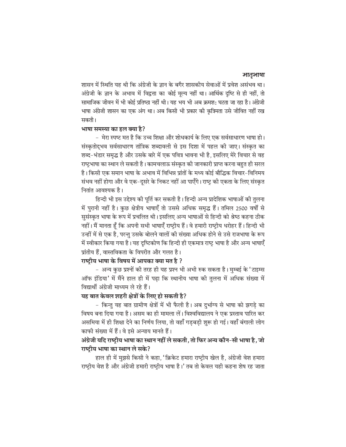शासन में स्थिति यह थी कि अंग्रेजी के ज्ञान के बगैर शासकीय सेवाओं में प्रवेश असंभव था। अंग्रेजी के ज्ञान के अभाव में विद्वत्ता का कोई मूल्य नहीं था। आर्थिक दृष्टि से ही नहीं, तो सामाजिक जीवन में भी कोई प्रतिष्ठा नहीं थी। यह भय भी अब क्रमश: घटता जा रहा है। अंग्रेजी भाषा अंग्रेजी शासन का एक अंग था। अब किसी भी प्रकार की कत्रिमता उसे जीवित नहीं रख सकती।

#### भाषा समस्या का हल क्या है?

– मेरा स्पष्ट मत है कि उच्च शिक्षा और शोधकार्य के लिए एक सर्वसाधारण भाषा हो। संस्कृतोद्भव सर्वसाधारण तांत्रिक शब्दावली से इस दिशा में पहल की जाए। संस्कृत का शब्द-भंडार समृद्ध है और उसके बारे में एक पवित्र भावना भी है, इसलिए मेरे विचार से वह राष्ट्रभाषा का स्थान ले सकती है। कामचलाऊ संस्कृत की जानकारी प्राप्त करना बहुत ही सरल है। किसी एक समान भाषा के अभाव में विभिन्न प्रांतों के मध्य कोई बौद्धिक विचार–विनिमय संभव नहीं होगा और वे एक–दूसरे के निकट नहीं आ पाएँगे। राष्ट्र की एकता के लिए संस्कृत नितांत आवश्यक है।

हिन्दी भी इस उद्देश्य की पूर्ति कर सकती है। हिन्दी अन्य प्रादेशिक भाषाओं की तुलना में पुरानी नहीं है। कुछ क्षेत्रीय भाषाएँ तो उससे अधिक समृद्ध हैं। तमिल 2500 वर्षों से सुसंस्कृत भाषा के रूप में प्रचलित थी। इसलिए अन्य भाषाओं से हिन्दी को श्रेष्ठ कहना ठीक नहीं। मैं मानता हूँ कि अपनी सभी भाषाएँ राष्ट्रीय हैं। वे हमारी राष्ट्रीय धरोहर हैं। हिन्दी भी उन्हीं में से एक है, परन्तु उसके बोलने वालों की संख्या अधिक होने से उसे राजभाषा के रूप में स्वीकार किया गया है। यह दृष्टिकोण कि हिन्दी ही एकमात्र राष्ट्र भाषा है और अन्य भाषाएँ प्रांतीय हैं, वास्तविकता के विपरीत और गलत है।

#### राष्ट्रीय भाषा के विषय में आपका क्या मत है ?

– अन्य कुछ प्रश्नों की तरह ही यह प्रश्न भी अभी रुक सकता है। मुम्बई के 'टाइम्स ऑफ इंडिया' में मैंने हाल ही में पढा कि स्थानीय भाषा की तुलना में अधिक संख्या में विद्यार्थी अंग्रेजी माध्यम ले रहे हैं।

### यह बात केवल शहरी क्षेत्रों के लिए हो सकती है?

- किन्तु यह बात ग्रामीण क्षेत्रों में भी फैली है। अब दुर्भाग्य से भाषा को झगडे का विषय बना दिया गया है। असम का ही मामला लें। विश्वविद्यालय ने एक प्रस्ताव पारित कर असमिया में ही शिक्षा देने का निर्णय लिया, तो वहाँ गडबडी शुरू हो गई। वहाँ बंगाली लोग काफी संख्या में हैं। वे इसे अन्याय मानते हैं।

### अंग्रेजी यदि राष्ट्रीय भाषा का स्थान नहीं ले सकती, तो फिर अन्य कौन-सी भाषा है, जो राष्टीय भाषा का स्थान ले सके?

हाल ही में मुझसे किसी ने कहा, 'क्रिकेट हमारा राष्ट्रीय खेल है, अंग्रेजी वेश हमारा राष्ट्रीय वेश है और अंग्रेजी हमारी राष्ट्रीय भाषा है।' तब तो केवल यही कहना शेष रह जाता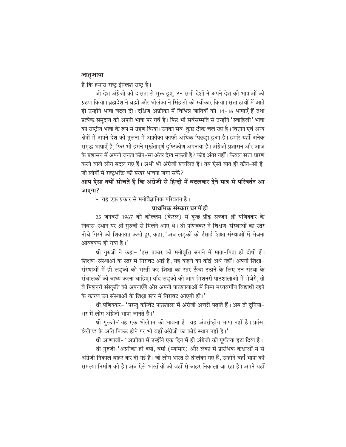है कि हमारा राष्ट्र इंग्लिश राष्ट्र है।

जो देश अंग्रेजों की दासता से मुक्त हुए, उन सभी देशों ने अपने देश की भाषाओं को ग्रहण किया। ब्रह्मदेश ने ब्रह्मी और श्रीलंका ने सिंहली को स्वीकार किया। सत्ता हाथों में आते ही उन्होंने भाषा बदल दी। दक्षिण अफ्रीका में विभिन्न जातियों की 14-16 भाषाएँ हैं तथा प्रत्येक समुदाय को अपनी भाषा पर गर्व है। फिर भी सर्वसम्मति से उन्होंने 'स्वाहिली' भाषा को राष्ट्रीय भाषा के रूप में ग्रहण किया। उनका सब–कुछ ठीक चल रहा है। विज्ञान एवं अन्य क्षेत्रों में अपने देश की तुलना में अफ्रीका काफी अधिक पिछड़ा हुआ है। हमारे यहाँ अनेक समृद्ध भाषाएँ हैं, फिर भी हमने मुर्खतापुर्ण दुष्टिकोण अपनाया है। अंग्रेजी प्रशासन और आज के प्रशासन में अपनी जनता कौन–सा अंतर देख सकती है? कोई अंतर नहीं। केवल सत्ता धारण करने वाले लोग बदल गए हैं। अभी भी अंग्रेजी प्रचलित है। तब ऐसी बात ही कौन-सी है, जो लोगों में राष्ट्रभक्ति की प्रखर भावना जगा सकें?

आप ऐसा क्यों सोचते हैं कि अंग्रेजी से हिन्दी में बदलकर देने मात्र से परिवर्तन आ जाएगा?

- यह एक प्रकार से मनोवैज्ञानिक परिवर्तन है।

#### प्राथमिक संस्कार घर में ही

25 जनवरी 1967 को कोल्लम (केरल) में कुछ प्रौढ़ सज्जन श्री पणिक्कर के निवास-स्थान पर श्री गुरुजी से मिलने आए थे। श्री पणिक्कर ने शिक्षण-संस्थाओं का स्तर नीचे गिरने की शिकायत करते हुए कहा, 'अब लड़कों को ईसाई शिक्षा संस्थाओं में भेजना आवश्यक हो गया है।'

श्री गुरुजी ने कहा- 'इस प्रकार की मनोवृत्ति बनाने में माता-पिता ही दोषी हैं। शिक्षण-संस्थाओं के स्तर में गिरावट आई है, यह कहने का कोई अर्थ नहीं। अपनी शिक्षा-संस्थाओं में ही लडकों को भरती कर शिक्षा का स्तर ऊँचा उठाने के लिए उन संस्था के संचालकों को बाध्य करना चाहिए। यदि लडकों को आप मिशनरी पाठशालाओं में भेजेंगे, तो वे मिशनरी संस्कृति को अपनाएँगे और अपनी पाठशालाओं में निम्न मध्यवर्गीय विद्यार्थी रहने के कारण उन संस्थाओं के शिक्षा स्तर में गिरावट आएगी ही।'

श्री पणिक्कर- 'परन्तु कॉन्वेंट पाठशाला में अंग्रेजी अच्छी पढाते हैं। अब तो दुनिया-भर में लोग अंग्रेजी भाषा जानते हैं।'

श्री गरुजी-'यह एक भोलेपन की भावना है। वह अंतर्राष्ट्रीय भाषा नहीं है। फ्रांस, इंग्लैण्ड के अति निकट होने पर भी वहाँ अंग्रेजी का कोई स्थान नहीं है।'

श्री अण्णाजी- 'अफ्रीका में उन्होंने एक दिन में ही अंग्रेजी को पर्णतया हटा दिया है।' श्री गुरुजी-'अफ्रीका ही क्यों, बर्मा (म्यांमार) और लंका में प्रारंभिक कक्षाओं में से अंग्रेजी निकाल बाहर कर दी गई है। जो लोग भारत से श्रीलंका गए हैं, उन्होंने वहाँ भाषा की समस्या निर्माण की है। अब ऐसे भारतीयों को वहाँ से बाहर निकाला जा रहा है। अपने यहाँ